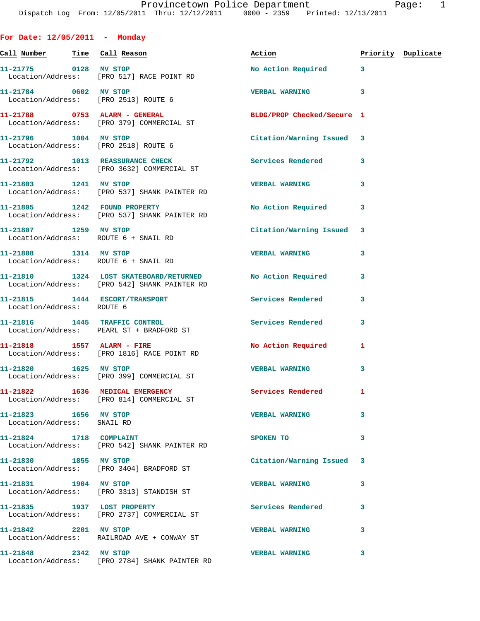**For Date: 12/05/2011 - Monday Call Number Time Call Reason Action Priority Duplicate 11-21775 0128 MV STOP No Action Required 3**  Location/Address: [PRO 517] RACE POINT RD **11-21784 0602 MV STOP VERBAL WARNING 3**  Location/Address: [PRO 2513] ROUTE 6 **11-21788 0753 ALARM - GENERAL BLDG/PROP Checked/Secure 1**  Location/Address: [PRO 379] COMMERCIAL ST **11-21796 1004 MV STOP Citation/Warning Issued 3**  Location/Address: [PRO 2518] ROUTE 6 **11-21792 1013 REASSURANCE CHECK Services Rendered 3**  Location/Address: [PRO 3632] COMMERCIAL ST **11-21803 1241 MV STOP VERBAL WARNING 3**  Location/Address: [PRO 537] SHANK PAINTER RD **11-21805 1242 FOUND PROPERTY No Action Required 3**  Location/Address: [PRO 537] SHANK PAINTER RD **11-21807 1259 MV STOP Citation/Warning Issued 3**  Location/Address: ROUTE 6 + SNAIL RD **11-21808 1314 MV STOP VERBAL WARNING 3**  Location/Address: ROUTE 6 + SNAIL RD **11-21810 1324 LOST SKATEBOARD/RETURNED No Action Required 3**  Location/Address: [PRO 542] SHANK PAINTER RD **11-21815 1444 ESCORT/TRANSPORT Services Rendered 3**  Location/Address: ROUTE 6 **11-21816 1445 TRAFFIC CONTROL Services Rendered 3**  Location/Address: PEARL ST + BRADFORD ST 11-21818 1557 ALARM - FIRE No Action Required 1 Location/Address: [PRO 1816] RACE POINT RD **11-21820 1625 MV STOP VERBAL WARNING 3**  Location/Address: [PRO 399] COMMERCIAL ST **11-21822 1636 MEDICAL EMERGENCY Services Rendered 1**  Location/Address: [PRO 814] COMMERCIAL ST **11-21823 1656 MV STOP VERBAL WARNING 3**  Location/Address: SNAIL RD **11-21824 1718 COMPLAINT SPOKEN TO 3**  Location/Address: [PRO 542] SHANK PAINTER RD **11-21830 1855 MV STOP Citation/Warning Issued 3**  Location/Address: [PRO 3404] BRADFORD ST **11-21831 1904 MV STOP VERBAL WARNING 3**  Location/Address: [PRO 3313] STANDISH ST **11-21835 1937 LOST PROPERTY Services Rendered 3**  Location/Address: [PRO 2737] COMMERCIAL ST **11-21842 2201 MV STOP VERBAL WARNING 3**  Location/Address: RAILROAD AVE + CONWAY ST **11-21848 2342 MV STOP VERBAL WARNING 3** 

Location/Address: [PRO 2784] SHANK PAINTER RD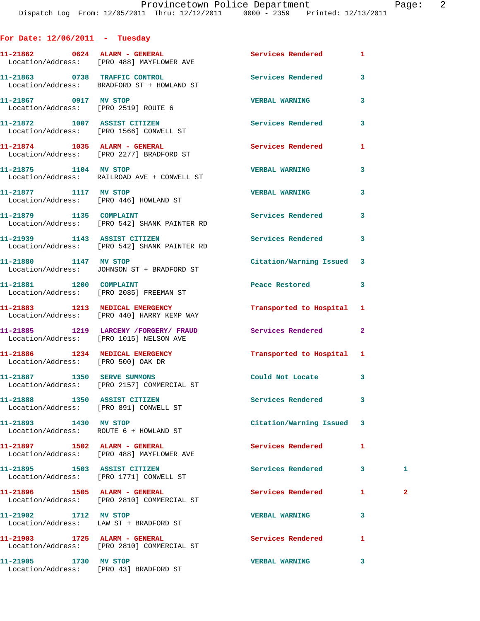| For Date: $12/06/2011$ - Tuesday                              |                                                                                  |                          |              |              |
|---------------------------------------------------------------|----------------------------------------------------------------------------------|--------------------------|--------------|--------------|
|                                                               | 11-21862 0624 ALARM - GENERAL<br>Location/Address: [PRO 488] MAYFLOWER AVE       | <b>Services Rendered</b> | 1            |              |
|                                                               | 11-21863 0738 TRAFFIC CONTROL<br>Location/Address: BRADFORD ST + HOWLAND ST      | Services Rendered        | 3            |              |
| 11-21867 0917 MV STOP<br>Location/Address: [PRO 2519] ROUTE 6 |                                                                                  | <b>VERBAL WARNING</b>    | 3            |              |
|                                                               | 11-21872 1007 ASSIST CITIZEN<br>Location/Address: [PRO 1566] CONWELL ST          | <b>Services Rendered</b> | 3            |              |
|                                                               | 11-21874 1035 ALARM - GENERAL<br>Location/Address: [PRO 2277] BRADFORD ST        | Services Rendered        | 1            |              |
| 11-21875 1104 MV STOP                                         | Location/Address: RAILROAD AVE + CONWELL ST                                      | <b>VERBAL WARNING</b>    | 3            |              |
| 11-21877 1117 MV STOP                                         | Location/Address: [PRO 446] HOWLAND ST                                           | <b>VERBAL WARNING</b>    | 3            |              |
|                                                               | 11-21879 1135 COMPLAINT<br>Location/Address: [PRO 542] SHANK PAINTER RD          | <b>Services Rendered</b> | 3            |              |
|                                                               | 11-21939 1143 ASSIST CITIZEN<br>Location/Address: [PRO 542] SHANK PAINTER RD     | <b>Services Rendered</b> | 3            |              |
|                                                               | 11-21880 1147 MV STOP<br>Location/Address: JOHNSON ST + BRADFORD ST              | Citation/Warning Issued  | 3            |              |
| 11-21881 1200 COMPLAINT                                       | Location/Address: [PRO 2085] FREEMAN ST                                          | Peace Restored           | 3            |              |
|                                                               | 11-21883 1213 MEDICAL EMERGENCY<br>Location/Address: [PRO 440] HARRY KEMP WAY    | Transported to Hospital  | 1            |              |
|                                                               | 11-21885 1219 LARCENY /FORGERY/ FRAUD<br>Location/Address: [PRO 1015] NELSON AVE | Services Rendered        | $\mathbf{2}$ |              |
| Location/Address: [PRO 500] OAK DR                            | 11-21886 1234 MEDICAL EMERGENCY                                                  | Transported to Hospital  | 1            |              |
| 11-21887 1350 SERVE SUMMONS                                   | Location/Address: [PRO 2157] COMMERCIAL ST                                       | Could Not Locate         | 3            |              |
| 11-21888 1350 ASSIST CITIZEN                                  | Location/Address: [PRO 891] CONWELL ST                                           | <b>Services Rendered</b> | 3            |              |
| 11-21893 1430 MV STOP                                         | Location/Address: ROUTE 6 + HOWLAND ST                                           | Citation/Warning Issued  | 3            |              |
|                                                               | Location/Address: [PRO 488] MAYFLOWER AVE                                        | Services Rendered        | 1            |              |
|                                                               | 11-21895 1503 ASSIST CITIZEN<br>Location/Address: [PRO 1771] CONWELL ST          | Services Rendered        | 3            | 1            |
|                                                               | Location/Address: [PRO 2810] COMMERCIAL ST                                       | <b>Services Rendered</b> | 1            | $\mathbf{2}$ |
| 11-21902 1712 MV STOP                                         | Location/Address: LAW ST + BRADFORD ST                                           | <b>VERBAL WARNING</b>    | 3            |              |
|                                                               | 11-21903 1725 ALARM - GENERAL<br>Location/Address: [PRO 2810] COMMERCIAL ST      | Services Rendered        | 1            |              |
| 11-21905 1730 MV STOP                                         | Location/Address: [PRO 43] BRADFORD ST                                           | <b>VERBAL WARNING</b>    | 3            |              |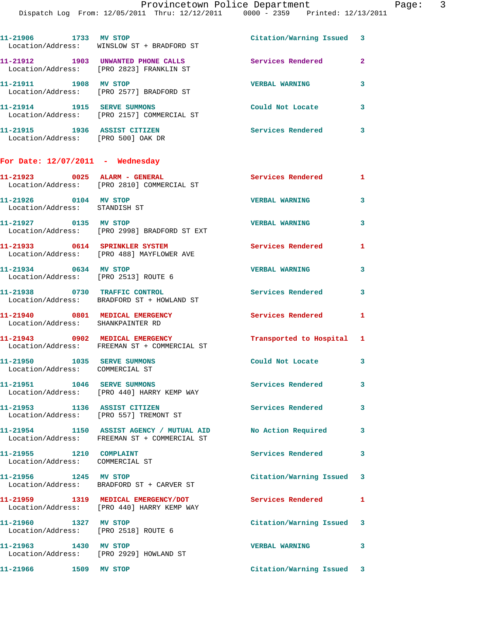Dispatch Log From: 12/05/2011 Thru: 12/12/2011 0000 - 2359 Printed: 12/13/2011

| 11-21906<br>1733                      | MV STOP<br>Location/Address: WINSLOW ST + BRADFORD ST | Citation/Warning Issued 3 |   |
|---------------------------------------|-------------------------------------------------------|---------------------------|---|
| 11-21912<br>1903<br>Location/Address: | UNWANTED PHONE CALLS<br>[PRO 2823] FRANKLIN ST        | Services Rendered         | 2 |
| 11-21911<br>1908<br>Location/Address: | MV STOP<br>[PRO 2577] BRADFORD ST                     | <b>VERBAL WARNING</b>     | 3 |
| 11-21914<br>1915<br>Location/Address: | <b>SERVE SUMMONS</b><br>[PRO 2157] COMMERCIAL ST      | Could Not Locate          | 3 |
| 1936<br>11-21915<br>Location/Address: | <b>ASSIST CITIZEN</b><br>[PRO 500] OAK DR             | Services Rendered         | 3 |

## **For Date: 12/07/2011 - Wednesday**

|                                                                      | 11-21923 0025 ALARM - GENERAL<br>Location/Address: [PRO 2810] COMMERCIAL ST              | Services Rendered         | $\mathbf{1}$ |
|----------------------------------------------------------------------|------------------------------------------------------------------------------------------|---------------------------|--------------|
| 11-21926 0104 MV STOP<br>Location/Address: STANDISH ST               |                                                                                          | <b>VERBAL WARNING</b>     | $\mathbf{3}$ |
| 11-21927 0135 MV STOP                                                | Location/Address: [PRO 2998] BRADFORD ST EXT                                             | <b>VERBAL WARNING</b>     | 3            |
| 11-21933 0614 SPRINKLER SYSTEM                                       | Location/Address: [PRO 488] MAYFLOWER AVE                                                | Services Rendered         | 1            |
| 11-21934 0634 MV STOP<br>Location/Address: [PRO 2513] ROUTE 6        |                                                                                          | <b>VERBAL WARNING</b>     | 3            |
| 11-21938 0730 TRAFFIC CONTROL                                        | Location/Address: BRADFORD ST + HOWLAND ST                                               | Services Rendered         | $\mathbf{3}$ |
| 11-21940 0801 MEDICAL EMERGENCY<br>Location/Address: SHANKPAINTER RD |                                                                                          | Services Rendered         | $\mathbf{1}$ |
| 11-21943 0902 MEDICAL EMERGENCY                                      | Location/Address: FREEMAN ST + COMMERCIAL ST                                             | Transported to Hospital   | 1            |
| Location/Address: COMMERCIAL ST                                      |                                                                                          | Could Not Locate          | 3            |
| 11-21951 1046 SERVE SUMMONS                                          | Location/Address: [PRO 440] HARRY KEMP WAY                                               | <b>Services Rendered</b>  | 3            |
| 11-21953 1136 ASSIST CITIZEN                                         | Location/Address: [PRO 557] TREMONT ST                                                   | Services Rendered         | 3            |
|                                                                      | 11-21954 1150 ASSIST AGENCY / MUTUAL AID<br>Location/Address: FREEMAN ST + COMMERCIAL ST | No Action Required        | 3            |
| 11-21955 1210 COMPLAINT<br>Location/Address: COMMERCIAL ST           |                                                                                          | Services Rendered         | 3            |
| 11-21956 1245 MV STOP                                                | Location/Address: BRADFORD ST + CARVER ST                                                | Citation/Warning Issued 3 |              |
| 11-21959                                                             | 1319 MEDICAL EMERGENCY/DOT<br>Location/Address: [PRO 440] HARRY KEMP WAY                 | Services Rendered         | $\mathbf{1}$ |
| 1327 MV STOP<br>11-21960<br>Location/Address: [PRO 2518] ROUTE 6     |                                                                                          | Citation/Warning Issued 3 |              |
| 11-21963 1430 MV STOP                                                | Location/Address: [PRO 2929] HOWLAND ST                                                  | <b>VERBAL WARNING</b>     | $\mathbf{3}$ |
| 11-21966 1509 MV STOP                                                |                                                                                          | Citation/Warning Issued 3 |              |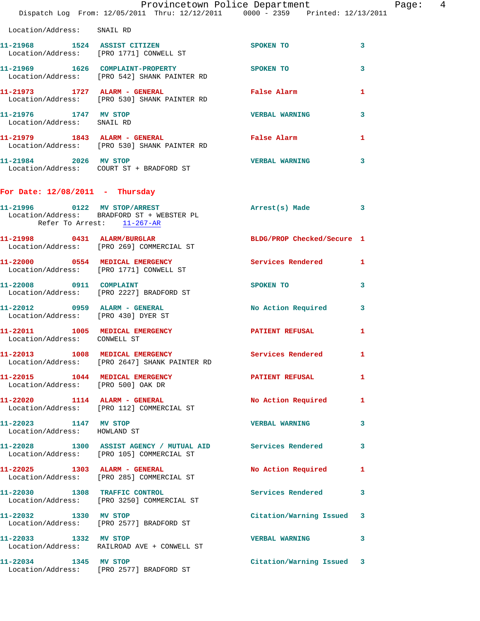|                                                                       | Dispatch Log From: 12/05/2011 Thru: 12/12/2011 0000 - 2359 Printed: 12/13/2011                                             | Provincetown Police Department Page: 4                                                                                                                                                                                         |              |
|-----------------------------------------------------------------------|----------------------------------------------------------------------------------------------------------------------------|--------------------------------------------------------------------------------------------------------------------------------------------------------------------------------------------------------------------------------|--------------|
| Location/Address: SNAIL RD                                            |                                                                                                                            |                                                                                                                                                                                                                                |              |
|                                                                       | 11-21968 1524 ASSIST CITIZEN<br>Location/Address: [PRO 1771] CONWELL ST                                                    | SPOKEN TO                                                                                                                                                                                                                      | 3            |
|                                                                       | 11-21969 1626 COMPLAINT-PROPERTY SPOKEN TO<br>Location/Address: [PRO 542] SHANK PAINTER RD                                 |                                                                                                                                                                                                                                | 3            |
|                                                                       | 11-21973 1727 ALARM - GENERAL <b>Example 11-21973</b> 1727 ALARM - GENERAL<br>Location/Address: [PRO 530] SHANK PAINTER RD |                                                                                                                                                                                                                                | 1            |
| 11-21976 1747 MV STOP<br>Location/Address: SNAIL RD                   |                                                                                                                            | <b>VERBAL WARNING</b>                                                                                                                                                                                                          | 3            |
|                                                                       | 11-21979               1843    ALARM - GENERAL<br>Location/Address:      [PRO 530] SHANK PAINTER RD                        | False Alarm                                                                                                                                                                                                                    | 1            |
|                                                                       | 11-21984 2026 MV STOP<br>Location/Address: COURT ST + BRADFORD ST                                                          | <b>VERBAL WARNING</b>                                                                                                                                                                                                          | 3            |
| For Date: $12/08/2011$ - Thursday                                     |                                                                                                                            |                                                                                                                                                                                                                                |              |
| Refer To Arrest: 11-267-AR                                            | 11-21996 0122 MV STOP/ARREST<br>Location/Address: BRADFORD ST + WEBSTER PL                                                 | Arrest(s) Made 3                                                                                                                                                                                                               |              |
|                                                                       | 11-21998 0431 ALARM/BURGLAR<br>Location/Address: [PRO 269] COMMERCIAL ST                                                   | BLDG/PROP Checked/Secure 1                                                                                                                                                                                                     |              |
|                                                                       | 11-22000 0554 MEDICAL EMERGENCY<br>Location/Address: [PRO 1771] CONWELL ST                                                 | Services Rendered 1                                                                                                                                                                                                            |              |
|                                                                       | 11-22008 0911 COMPLAINT<br>Location/Address: [PRO 2227] BRADFORD ST                                                        | SPOKEN TO THE SPOKEN OF THE SPOKEN OF THE SPOKEN OF THE SPOKEN OF THE SPOKEN OF THE SPOKEN OF THE SPOKEN OF THE SPOKEN OF THE SPOKEN OF THE SPOKEN OF THE SPOKEN OF THE SPOKEN OF THE SPOKEN OF THE SPOKEN OF THE SPOKEN OF TH | 3            |
| Location/Address: [PRO 430] DYER ST                                   | 11-22012 0959 ALARM - GENERAL                                                                                              | No Action Required 3                                                                                                                                                                                                           |              |
| Location/Address: CONWELL ST                                          | 11-22011 1005 MEDICAL EMERGENCY PATIENT REFUSAL                                                                            |                                                                                                                                                                                                                                | $\mathbf{1}$ |
|                                                                       | 11-22013 1008 MEDICAL EMERGENCY<br>Location/Address: [PRO 2647] SHANK PAINTER RD                                           | Services Rendered 1                                                                                                                                                                                                            |              |
| 11-22015 1044 MEDICAL EMERGENCY<br>Location/Address: [PRO 500] OAK DR |                                                                                                                            | PATIENT REFUSAL                                                                                                                                                                                                                | 1            |
|                                                                       | 11-22020 1114 ALARM - GENERAL<br>Location/Address: [PRO 112] COMMERCIAL ST                                                 | No Action Required 1                                                                                                                                                                                                           |              |
| 11-22023 1147 MV STOP<br>Location/Address: HOWLAND ST                 |                                                                                                                            | <b>VERBAL WARNING</b>                                                                                                                                                                                                          | 3            |
|                                                                       | 11-22028 1300 ASSIST AGENCY / MUTUAL AID Services Rendered 3<br>Location/Address: [PRO 105] COMMERCIAL ST                  |                                                                                                                                                                                                                                |              |
|                                                                       | 11-22025 1303 ALARM - GENERAL<br>Location/Address: [PRO 285] COMMERCIAL ST                                                 | No Action Required                                                                                                                                                                                                             | 1            |
|                                                                       | 11-22030 1308 TRAFFIC CONTROL<br>Location/Address: [PRO 3250] COMMERCIAL ST                                                | Services Rendered 3                                                                                                                                                                                                            |              |
|                                                                       | 11-22032 1330 MV STOP<br>Location/Address: [PRO 2577] BRADFORD ST                                                          | Citation/Warning Issued 3                                                                                                                                                                                                      |              |
| 11-22033 1332 MV STOP                                                 | Location/Address: RAILROAD AVE + CONWELL ST                                                                                | <b>VERBAL WARNING</b>                                                                                                                                                                                                          | 3            |
|                                                                       | 11-22034 1345 MV STOP<br>Location/Address: [PRO 2577] BRADFORD ST                                                          | Citation/Warning Issued 3                                                                                                                                                                                                      |              |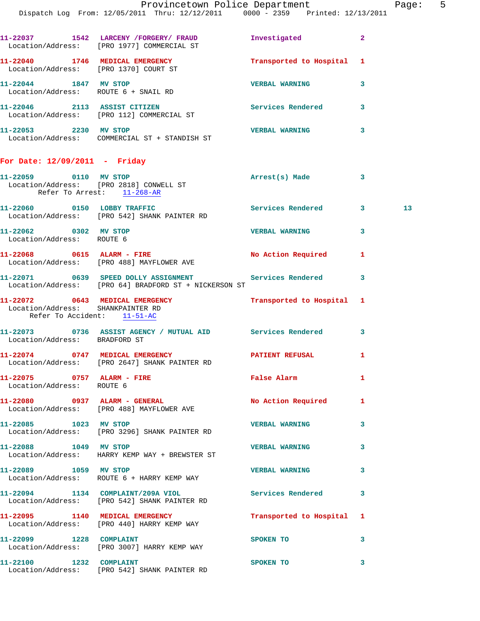|         | raye. |
|---------|-------|
| 13/2011 |       |

| 11-22037<br>Location/Address: | 1542 | LARCENY / FORGERY / FRAUD<br>FRO 19771 COMMERCIAL ST | Investigated            | 2 |
|-------------------------------|------|------------------------------------------------------|-------------------------|---|
| 11-22040<br>Location/Address: | 1746 | MEDICAL EMERGENCY<br>[PRO 1370] COURT ST             | Transported to Hospital | 1 |
| 11-22044<br>Location/Address: | 1847 | <b>MV STOP</b><br>ROUTE 6 + SNAIL RD                 | <b>VERBAL WARNING</b>   | 3 |
| 11-22046<br>Location/Address: | 2113 | <b>ASSIST CITIZEN</b><br>[PRO 112] COMMERCIAL ST     | Services Rendered       | 3 |
| 11-22053<br>Location/Address: | 2230 | MV STOP<br>COMMERCIAL ST + STANDISH ST               | <b>VERBAL WARNING</b>   | 3 |

## **For Date: 12/09/2011 - Friday**

| 11-22059 0110 MV STOP                                            | Location/Address: [PRO 2818] CONWELL ST<br>Refer To Arrest: 11-268-AR                                             | Arrest(s) Made            | 3 |    |
|------------------------------------------------------------------|-------------------------------------------------------------------------------------------------------------------|---------------------------|---|----|
|                                                                  | 11-22060 0150 LOBBY TRAFFIC<br>Location/Address: [PRO 542] SHANK PAINTER RD                                       | Services Rendered 3       |   | 13 |
| 11-22062 0302 MV STOP<br>Location/Address: ROUTE 6               |                                                                                                                   | <b>VERBAL WARNING</b>     | 3 |    |
|                                                                  | 11-22068 0615 ALARM - FIRE<br>Location/Address: [PRO 488] MAYFLOWER AVE                                           | No Action Required 1      |   |    |
|                                                                  | 11-22071 0639 SPEED DOLLY ASSIGNMENT Services Rendered 3<br>Location/Address: [PRO 64] BRADFORD ST + NICKERSON ST |                           |   |    |
| Location/Address: SHANKPAINTER RD<br>Refer To Accident: 11-51-AC | 11-22072 0643 MEDICAL EMERGENCY Transported to Hospital 1                                                         |                           |   |    |
| Location/Address: BRADFORD ST                                    | 11-22073 0736 ASSIST AGENCY / MUTUAL AID Services Rendered 3                                                      |                           |   |    |
|                                                                  | 11-22074 0747 MEDICAL EMERGENCY<br>Location/Address: [PRO 2647] SHANK PAINTER RD                                  | PATIENT REFUSAL           | 1 |    |
| Location/Address: ROUTE 6                                        | 11-22075 0757 ALARM - FIRE                                                                                        | False Alarm               | 1 |    |
|                                                                  | 11-22080 0937 ALARM - GENERAL<br>Location/Address: [PRO 488] MAYFLOWER AVE                                        | No Action Required 1      |   |    |
| 11-22085 1023 MV STOP                                            | Location/Address: [PRO 3296] SHANK PAINTER RD                                                                     | <b>VERBAL WARNING</b>     | 3 |    |
| 11-22088 1049 MV STOP                                            | Location/Address: HARRY KEMP WAY + BREWSTER ST                                                                    | <b>VERBAL WARNING</b>     | 3 |    |
| 11-22089 1059 MV STOP                                            | Location/Address: ROUTE 6 + HARRY KEMP WAY                                                                        | <b>VERBAL WARNING</b>     | 3 |    |
|                                                                  | 11-22094 1134 COMPLAINT/209A VIOL<br>Location/Address: [PRO 542] SHANK PAINTER RD                                 | Services Rendered 3       |   |    |
|                                                                  | 11-22095 1140 MEDICAL EMERGENCY<br>Location/Address: [PRO 440] HARRY KEMP WAY                                     | Transported to Hospital 1 |   |    |
|                                                                  | 11-22099 1228 COMPLAINT<br>Location/Address: [PRO 3007] HARRY KEMP WAY                                            | SPOKEN TO                 | 3 |    |
|                                                                  | 11-22100 1232 COMPLAINT<br>Location/Address: [PRO 542] SHANK PAINTER RD                                           | SPOKEN TO                 | 3 |    |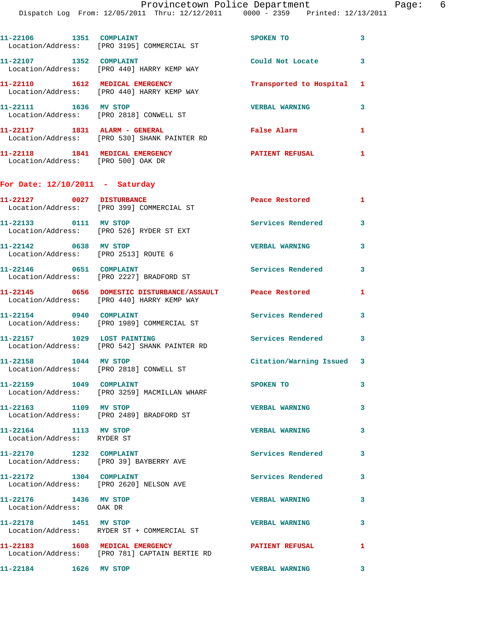| 1351<br>11-22106 | <b>COMPLAINT</b><br>Location/Address: [PRO 3195] COMMERCIAL ST  | SPOKEN TO                 |  |
|------------------|-----------------------------------------------------------------|---------------------------|--|
| 11-22107<br>1352 | <b>COMPLAINT</b><br>Location/Address: [PRO 440] HARRY KEMP WAY  | Could Not Locate          |  |
| 11-22110<br>1612 | MEDICAL EMERGENCY<br>Location/Address: [PRO 440] HARRY KEMP WAY | Transported to Hospital 1 |  |
| 11-22111<br>1636 | MV STOP<br>Location/Address: [PRO 2818] CONWELL ST              | <b>VERBAL WARNING</b>     |  |
| 11-22117<br>1831 | ALARM - GENERAL<br>Location/Address: [PRO 530] SHANK PAINTER RD | False Alarm               |  |

**11-22118 1841 MEDICAL EMERGENCY PATIENT REFUSAL 1**  Location/Address: [PRO 500] OAK DR

## **For Date: 12/10/2011 - Saturday**

| 11-22127 0027 DISTURBANCE                                     | Location/Address: [PRO 399] COMMERCIAL ST                                                               | Peace Restored            | $\mathbf{1}$            |
|---------------------------------------------------------------|---------------------------------------------------------------------------------------------------------|---------------------------|-------------------------|
| 11-22133 0111 MV STOP                                         | Location/Address: [PRO 526] RYDER ST EXT                                                                | <b>Services Rendered</b>  | 3                       |
| 11-22142 0638 MV STOP<br>Location/Address: [PRO 2513] ROUTE 6 |                                                                                                         | <b>VERBAL WARNING</b>     | 3                       |
| 11-22146 0651 COMPLAINT                                       | Location/Address: [PRO 2227] BRADFORD ST                                                                | Services Rendered         | 3                       |
|                                                               | 11-22145 0656 DOMESTIC DISTURBANCE/ASSAULT Peace Restored<br>Location/Address: [PRO 440] HARRY KEMP WAY |                           | $\mathbf{1}$            |
| 11-22154 0940 COMPLAINT                                       | Location/Address: [PRO 1989] COMMERCIAL ST                                                              | <b>Services Rendered</b>  | $\overline{\mathbf{3}}$ |
|                                                               | 11-22157 1029 LOST PAINTING<br>Location/Address: [PRO 542] SHANK PAINTER RD                             | <b>Services Rendered</b>  | 3                       |
| 11-22158 1044 MV STOP                                         | Location/Address: [PRO 2818] CONWELL ST                                                                 | Citation/Warning Issued 3 |                         |
| 11-22159 1049 COMPLAINT                                       | Location/Address: [PRO 3259] MACMILLAN WHARF                                                            | SPOKEN TO                 | 3                       |
| 11-22163 1109 MV STOP                                         | Location/Address: [PRO 2489] BRADFORD ST                                                                | <b>VERBAL WARNING</b>     | 3                       |
| 11-22164 1113 MV STOP<br>Location/Address: RYDER ST           |                                                                                                         | <b>VERBAL WARNING</b>     | 3                       |
| 11-22170 1232 COMPLAINT                                       | Location/Address: [PRO 39] BAYBERRY AVE                                                                 | Services Rendered         | 3                       |
| 11-22172 1304 COMPLAINT                                       | Location/Address: [PRO 2620] NELSON AVE                                                                 | Services Rendered         | 3                       |
| 11-22176 1436 MV STOP<br>Location/Address: OAK DR             |                                                                                                         | <b>VERBAL WARNING</b>     | 3                       |
| 11-22178 1451 MV STOP                                         | Location/Address: RYDER ST + COMMERCIAL ST                                                              | <b>VERBAL WARNING</b>     | 3                       |
|                                                               | 11-22183 1608 MEDICAL EMERGENCY<br>Location/Address: [PRO 781] CAPTAIN BERTIE RD                        | <b>PATIENT REFUSAL</b>    | $\mathbf{1}$            |
| 1626 MV STOP<br>11-22184                                      |                                                                                                         | <b>VERBAL WARNING</b>     | 3                       |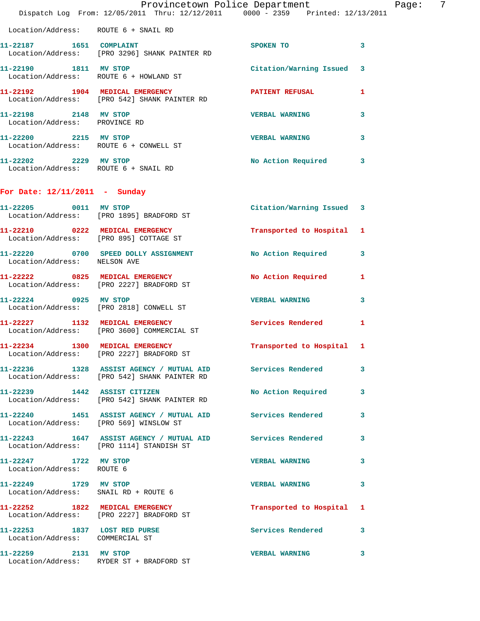|                                                                 | Dispatch Log From: 12/05/2011 Thru: 12/12/2011 0000 - 2359 Printed: 12/13/2011                               | Provincetown Police Department Page: | $\overline{7}$ |
|-----------------------------------------------------------------|--------------------------------------------------------------------------------------------------------------|--------------------------------------|----------------|
| Location/Address: ROUTE 6 + SNAIL RD                            |                                                                                                              |                                      |                |
| 11-22187   1651   COMPLAINT                                     | Location/Address: [PRO 3296] SHANK PAINTER RD                                                                | <b>SPOKEN TO</b>                     | 3              |
|                                                                 | 11-22190 1811 MV STOP<br>Location/Address: ROUTE 6 + HOWLAND ST                                              | Citation/Warning Issued 3            |                |
|                                                                 | 11-22192 1904 MEDICAL EMERGENCY PATIENT REFUSAL<br>Location/Address: [PRO 542] SHANK PAINTER RD              |                                      | $\mathbf{1}$   |
| 11-22198 2148 MV STOP<br>Location/Address: PROVINCE RD          |                                                                                                              | <b>VERBAL WARNING</b>                | 3              |
| 11-22200 2215 MV STOP                                           | Location/Address: ROUTE 6 + CONWELL ST                                                                       | <b>VERBAL WARNING</b>                | $\mathbf{3}$   |
| 11-22202 2229 MV STOP<br>Location/Address: ROUTE 6 + SNAIL RD   |                                                                                                              | No Action Required 3                 |                |
| For Date: $12/11/2011$ - Sunday                                 |                                                                                                              |                                      |                |
|                                                                 | 11-22205 0011 MV STOP<br>Location/Address: [PRO 1895] BRADFORD ST                                            | Citation/Warning Issued 3            |                |
|                                                                 | 11-22210 0222 MEDICAL EMERGENCY<br>Location/Address: [PRO 895] COTTAGE ST                                    | Transported to Hospital 1            |                |
| Location/Address: NELSON AVE                                    | 11-22220 0700 SPEED DOLLY ASSIGNMENT No Action Required                                                      |                                      | 3              |
|                                                                 | 11-22222 0825 MEDICAL EMERGENCY<br>Location/Address: [PRO 2227] BRADFORD ST                                  | No Action Required                   | $\mathbf{1}$   |
|                                                                 | 11-22224 0925 MV STOP<br>Location/Address: [PRO 2818] CONWELL ST                                             | <b>VERBAL WARNING</b>                | 3              |
|                                                                 | 11-22227 1132 MEDICAL EMERGENCY<br>Location/Address: [PRO 3600] COMMERCIAL ST                                | Services Rendered                    | $\mathbf{1}$   |
|                                                                 | 11-22234 1300 MEDICAL EMERGENCY<br>Location/Address: [PRO 2227] BRADFORD ST                                  | Transported to Hospital 1            |                |
|                                                                 | 11-22236 1328 ASSIST AGENCY / MUTUAL AID Services Rendered 3<br>Location/Address: [PRO 542] SHANK PAINTER RD |                                      |                |
|                                                                 | 11-22239 1442 ASSIST CITIZEN<br>Location/Address: [PRO 542] SHANK PAINTER RD                                 | No Action Required 3                 |                |
|                                                                 | 11-22240 1451 ASSIST AGENCY / MUTUAL AID Services Rendered 3<br>Location/Address: [PRO 569] WINSLOW ST       |                                      |                |
|                                                                 | 11-22243 1647 ASSIST AGENCY / MUTUAL AID Services Rendered 3<br>Location/Address: [PRO 1114] STANDISH ST     |                                      |                |
| 11-22247 1722 MV STOP<br>Location/Address: ROUTE 6              |                                                                                                              | <b>VERBAL WARNING 3</b>              |                |
| 11-22249 1729 MV STOP                                           | Location/Address: SNAIL RD + ROUTE 6                                                                         | VERBAL WARNING 3                     |                |
|                                                                 | 11-22252 1822 MEDICAL EMERGENCY<br>Location/Address: [PRO 2227] BRADFORD ST                                  | Transported to Hospital 1            |                |
| 11-22253 1837 LOST RED PURSE<br>Location/Address: COMMERCIAL ST |                                                                                                              | Services Rendered 3                  |                |
| 11-22259 2131 MV STOP                                           | Location/Address: RYDER ST + BRADFORD ST                                                                     | VERBAL WARNING 3                     |                |